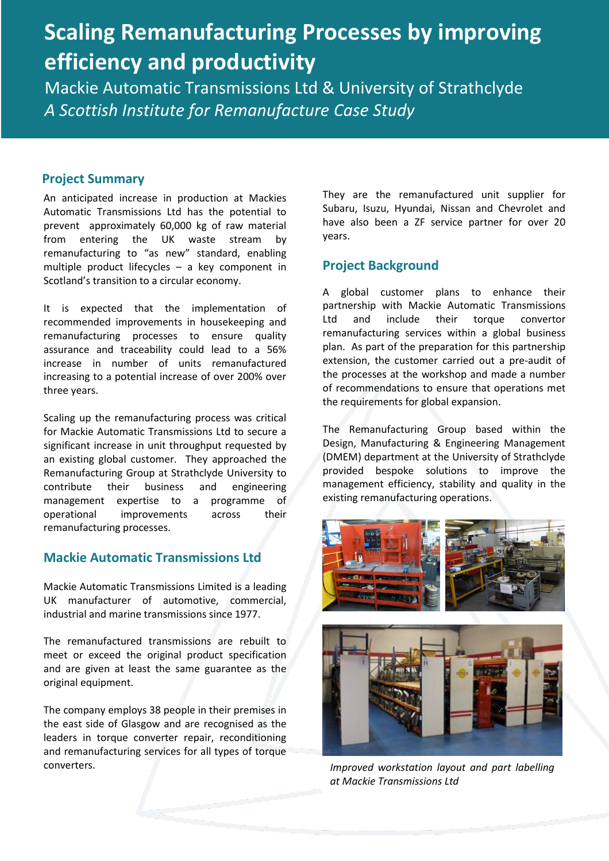# **Scaling Remanufacturing Processes by improving efficiency and productivity**

Mackie Automatic Transmissions Ltd & University of Strathclyde *A Scottish Institute for Remanufacture Case Study* 

#### **Project Summary**

An anticipated increase in production at Mackies Automatic Transmissions Ltd has the potential to prevent approximately 60,000 kg of raw material from entering the UK waste stream by remanufacturing to "as new" standard, enabling multiple product lifecycles – a key component in Scotland's transition to a circular economy.

It is expected that the implementation of recommended improvements in housekeeping and remanufacturing processes to ensure quality assurance and traceability could lead to a 56% increase in number of units remanufactured increasing to a potential increase of over 200% over three years.

Scaling up the remanufacturing process was critical for Mackie Automatic Transmissions Ltd to secure a significant increase in unit throughput requested by an existing global customer. They approached the Remanufacturing Group at Strathclyde University to contribute their business and engineering management expertise to a programme of operational improvements across their remanufacturing processes.

### **Mackie Automatic Transmissions Ltd**

Mackie Automatic Transmissions Limited is a leading UK manufacturer of automotive, commercial, industrial and marine transmissions since 1977.

The remanufactured transmissions are rebuilt to meet or exceed the original product specification and are given at least the same guarantee as the original equipment.

The company employs 38 people in their premises in the east side of Glasgow and are recognised as the leaders in torque converter repair, reconditioning and remanufacturing services for all types of torque converters.

They are the remanufactured unit supplier for Subaru, Isuzu, Hyundai, Nissan and Chevrolet and have also been a ZF service partner for over 20 years.

#### **Project Background**

A global customer plans to enhance their partnership with Mackie Automatic Transmissions<br>Ltd and include their torque convertor Ltd and include their torque convertor remanufacturing services within a global business plan. As part of the preparation for this partnership extension, the customer carried out a pre-audit of the processes at the workshop and made a number of recommendations to ensure that operations met the requirements for global expansion.

The Remanufacturing Group based within the Design, Manufacturing & Engineering Management (DMEM) department at the University of Strathclyde provided bespoke solutions to improve the management efficiency, stability and quality in the existing remanufacturing operations.



*Improved workstation layout and part labelling at Mackie Transmissions Ltd*